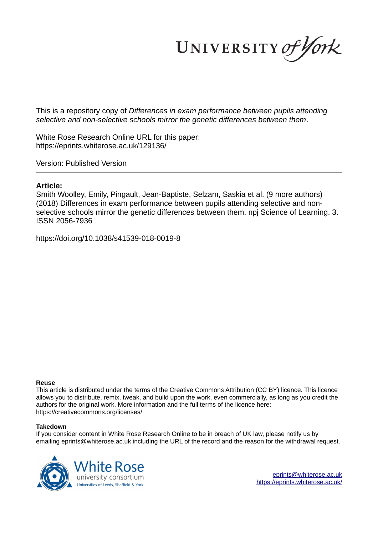UNIVERSITY of York

This is a repository copy of *Differences in exam performance between pupils attending selective and non-selective schools mirror the genetic differences between them*.

White Rose Research Online URL for this paper: https://eprints.whiterose.ac.uk/129136/

Version: Published Version

# **Article:**

Smith Woolley, Emily, Pingault, Jean-Baptiste, Selzam, Saskia et al. (9 more authors) (2018) Differences in exam performance between pupils attending selective and nonselective schools mirror the genetic differences between them. npj Science of Learning. 3. ISSN 2056-7936

https://doi.org/10.1038/s41539-018-0019-8

# **Reuse**

This article is distributed under the terms of the Creative Commons Attribution (CC BY) licence. This licence allows you to distribute, remix, tweak, and build upon the work, even commercially, as long as you credit the authors for the original work. More information and the full terms of the licence here: https://creativecommons.org/licenses/

# **Takedown**

If you consider content in White Rose Research Online to be in breach of UK law, please notify us by emailing eprints@whiterose.ac.uk including the URL of the record and the reason for the withdrawal request.

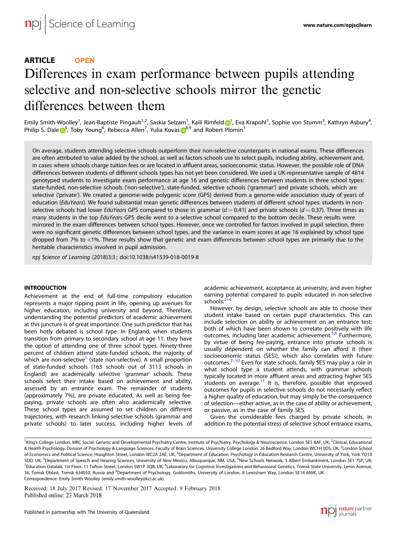# ARTICLE **OPEN**

# Differences in exam performance between pupils attending selective and non-selective schools mirror the genetic differences between them

Emily Smith-Woolley<sup>1</sup>, Jean-Baptiste Pingault<sup>1,2</sup>, Saskia Selzam<sup>1</sup>, Kaili Rimfel[d](http://orcid.org/0000-0001-5139-065X) <mark>O</mark>[1](http://orcid.org/0000-0001-5139-065X), Eva Krapohl<sup>1</sup>, Sophie von Stumm<sup>3</sup>, Kathryn Asbury<sup>4</sup>, Philip S. Dal[e](http://orcid.org/0000-0002-7697-8510) <sup>[5](http://orcid.org/0000-0002-7697-8510)</sup>, Toby Young<sup>6</sup>, Rebecca Allen<sup>7</sup>, Yulia Kovas <sup>[8](http://orcid.org/0000-0001-9633-6374),9</sup> and Robert Plomin<sup>1</sup>

On average, students attending selective schools outperform their non-selective counterparts in national exams. These differences are often attributed to value added by the school, as well as factors schools use to select pupils, including ability, achievement and, in cases where schools charge tuition fees or are located in affluent areas, socioeconomic status. However, the possible role of DNA differences between students of different schools types has not yet been considered. We used a UK-representative sample of 4814 genotyped students to investigate exam performance at age 16 and genetic differences between students in three school types: state-funded, non-selective schools ('non-selective'), state-funded, selective schools ('grammar') and private schools, which are selective ('private'). We created a genome-wide polygenic score (GPS) derived from a genome-wide association study of years of education (EduYears). We found substantial mean genetic differences between students of different school types: students in nonselective schools had lower EduYears GPS compared to those in grammar ( $d = 0.41$ ) and private schools ( $d = 0.37$ ). Three times as many students in the top EduYears GPS decile went to a selective school compared to the bottom decile. These results were mirrored in the exam differences between school types. However, once we controlled for factors involved in pupil selection, there were no significant genetic differences between school types, and the variance in exam scores at age 16 explained by school type dropped from 7% to <1%. These results show that genetic and exam differences between school types are primarily due to the heritable characteristics involved in pupil admission.

npj Science of Learning (2018) 3:3 ; doi:10.1038/s415[39-018-0019-8](https://doi.org/10.1038/s41539-018-0019-8)

#### **INTRODUCTION**

Achievement at the end of full-time compulsory education represents a major tipping point in life, opening up avenues for higher education, including university and beyond. Therefore, understanding the potential predictors of academic achievement at this juncture is of great importance. One such predictor that has been hotly debated is school type. In England, when students transition from primary to secondary school at age 11, they have the option of attending one of three school types. Ninety-three percent of children attend state-funded schools, the majority of .<br>which are non-selective<sup>[1](#page-6-0)</sup> (state non-selective). A small proportion of state-funded schools (163 schools out of 3113 schools in England) are academically selective 'grammar' schools. These schools select their intake based on achievement and ability, assessed by an entrance exam. The remainder of students (approximately 7%), are private educated. As well as being feepaying, private schools are often also academically selective. These school types are assumed to set children on different trajectories, with research linking selective schools (grammar and private schools) to later success, including higher levels of academic achievement, acceptance at university, and even higher earning potential compared to pupils educated in non-selective schools.<sup>[2](#page-6-0)</sup>

However, by design, selective schools are able to choose their student intake based on certain pupil characteristics. This can include selection on ability or achievement on an entrance test; both of which have been shown to correlate positively with life outcomes, including later academic achievement.<sup>[5](#page-6-0),[6](#page-6-0)</sup> Furthermore, by virtue of being fee-paying, entrance into private schools is usually dependent on whether the family can afford it (their socioeconomic status (SES)), which also correlates with future outcomes.[7](#page-6-0)–[10](#page-6-0) Even for state schools, family SES may play a role in what school type a student attends, with grammar schools typically located in more affluent areas and attracting higher SES students on average. $11$  It is, therefore, possible that improved outcomes for pupils in selective schools do not necessarily reflect a higher quality of education, but may simply be the consequence of selection—either active, as in the case of ability or achievement, or passive, as in the case of family SES.

Given the considerable fees charged by private schools, in addition to the potential stress of selective school entrance exams,

Received: 18 July 2017 Revised: 17 November 2017 Accepted: 9 February 2018



<sup>&</sup>lt;sup>1</sup>King's College London, MRC Social, Genetic and Developmental Psychiatry Centre, Institute of Psychiatry, Psychology & Neuroscience, London SE5 8AF, UK; <sup>2</sup>Clinical, Educational & Health Psychology, Division of Psychology & Language Sciences, Faculty of Brain Sciences, University College London, 26 Bedford Way, London WC1H 0DS, UK; <sup>3</sup>London School of Economics and Political Science, Houghton Street, London WC2A 2AE, UK; <sup>4</sup>Department of Education, Psychology in Education Research Centre, University of York, York YO10 5DD, UK; <sup>5</sup>Department of Speech and Hearing Sciences, University of New Mexico, Albuquerque, NM, USA; <sup>6</sup>New Schools Network, 3 Albert Embankment, London SE1 7SP, UK; <sup>7</sup>Education Datalab, 1st Floor, 11 Tufton Street, London SW1P 3QB, UK; <sup>8</sup>Laboratory for Cognitive Investigations and Behavioural Genetics, Tomsk State University, Lenin Avenue, 36, Tomsk Oblast, Tomsk 634050, Russia and <sup>9</sup>Department of Psychology, Goldsmiths, University of London, 8 Lewisham Way, London SE14 6NW, UK Correspondence: Emily Smith-Woolley [\(emily.smith-woolley@kcl.ac.uk](mailto:emily.smith-woolley@kcl.ac.uk))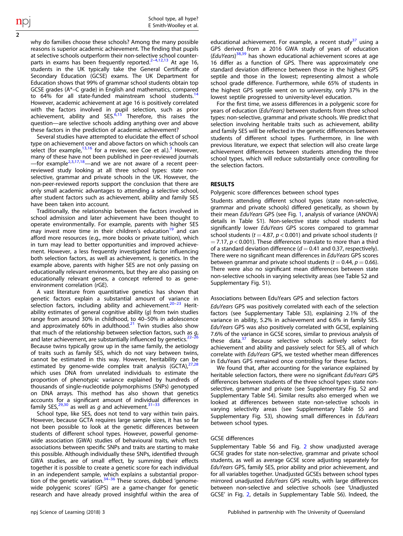why do families choose these schools? Among the many possible reasons is superior academic achievement. The finding that pupils at selective schools outperform their non-selective school counter-parts in exams has been frequently reported.<sup>[2](#page-6-0)-[4,12,13](#page-6-0)</sup> At age 16, students in the UK typically take the General Certificate of Secondary Education (GCSE) exams. The UK Department for Education shows that 99% of grammar school students obtain top GCSE grades (A\*–C grade) in English and mathematics, compared to 64% for all state-funded mainstream school students.<sup>[14](#page-6-0)</sup> However, academic achievement at age 16 is positively correlated with the factors involved in pupil selection, such as prior<br>achievement, ability and SES.<sup>[6](#page-6-0),[15](#page-6-0)</sup> Therefore, this raises the question—are selective schools adding anything over and above these factors in the prediction of academic achievement?

Several studies have attempted to elucidate the effect of school type on achievement over and above factors on which schools can select (for example,  $13,16$  for a review, see Coe et al.).<sup>[3](#page-6-0)</sup> However, many of these have not been published in peer-reviewed journals —for example<sup>[2,3,17,18](#page-6-0)</sup>—and we are not aware of a recent peerreviewed study looking at all three school types: state nonselective, grammar and private schools in the UK. However, the non-peer-reviewed reports support the conclusion that there are only small academic advantages to attending a selective school, after student factors such as achievement, ability and family SES have been taken into account.

Traditionally, the relationship between the factors involved in school admission and later achievement have been thought to operate environmentally. For example, parents with higher SES may invest more time in their children's education<sup>[19](#page-6-0)</sup> and can afford more resources (e.g., more books or private tuition), which in turn may lead to better opportunities and improved achievement. However, a less frequently investigated factor influencing both selection factors, as well as achievement, is genetics. In the example above, parents with higher SES are not only passing on educationally relevant environments, but they are also passing on educationally relevant genes, a concept referred to as geneenvironment correlation (rGE).

A vast literature from quantitative genetics has shown that genetic factors explain a substantial amount of variance in selection factors, including ability and achievement.<sup>[20](#page-6-0)–[23](#page-6-0)</sup> Heritability estimates of general cognitive ability  $(q)$  from twin studies range from around 30% in childhood, to 40–50% in adolescence and approximately 60% in adulthood.<sup>[21](#page-6-0)</sup> Twin studies also show that much of the relationship between selection factors, such as g,<br>and later achievement, are substantially influenced by genetics.<sup>[22](#page-6-0)–[26](#page-6-0)</sup> Because twins typically grow up in the same family, the aetiology of traits such as family SES, which do not vary between twins, cannot be estimated in this way. However, heritability can be estimated by genome-wide complex trait analysis (GCTA), $27,28$  $27,28$  $27,28$ which uses DNA from unrelated individuals to estimate the proportion of phenotypic variance explained by hundreds of thousands of single-nucleotide polymorphisms (SNPs) genotyped on DNA arrays. This method has also shown that genetics accounts for a significant amount of individual differences in family SES,  $^{29,30}$  $^{29,30}$  $^{29,30}$  as well as g and achievement.<sup>[31](#page-6-0)–[33](#page-6-0)</sup>

School type, like SES, does not tend to vary within twin pairs. However, because GCTA requires large sample sizes, it has so far not been possible to look at the genetic differences between students of different school types. However, powerful genomewide association (GWA) studies of behavioural traits, which test associations between specific SNPs and traits are starting to make this possible. Although individually these SNPs, identified through GWA studies, are of small effect, by summing their effects together it is possible to create a genetic score for each individual in an independent sample, which explains a substantial proportion of the genetic variation. $34-36$  $34-36$  $34-36$  These scores, dubbed 'genomewide polygenic scores' (GPS) are a game-changer for genetic research and have already proved insightful within the area of educational achievement. For example, a recent study $37$  using a GPS derived from a 2016 GWA study of years of education (EduYears)<sup>[38,39](#page-7-0)</sup> has shown educational achievement scores at age 16 differ as a function of GPS. There was approximately one standard deviation difference between those in the highest GPS septile and those in the lowest; representing almost a whole school grade difference. Furthermore, while 65% of students in the highest GPS septile went on to university, only 37% in the lowest septile progressed to university-level education.

For the first time, we assess differences in a polygenic score for years of education (EduYears) between students from three school types: non-selective, grammar and private schools. We predict that selection involving heritable traits such as achievement, ability and family SES will be reflected in the genetic differences between students of different school types. Furthermore, in line with previous literature, we expect that selection will also create large achievement differences between students attending the three school types, which will reduce substantially once controlling for the selection factors.

### RESULTS

#### Polygenic score differences between school types

Students attending different school types (state non-selective, grammar and private schools) differed genetically, as shown by their mean EduYears GPS (see Fig. [1](#page-3-0), analysis of variance (ANOVA) details in Table S1). Non-selective state school students had significantly lower EduYears GPS scores compared to grammar school students ( $t = 4.87$ ,  $p < 0.001$ ) and private school students (t  $= 7.17$ ,  $p < 0.001$ ). These differences translate to more than a third of a standard deviation difference ( $d = 0.41$  and 0.37, respectively). There were no significant mean differences in EduYears GPS scores between grammar and private school students ( $t = 0.44$ ,  $p = 0.66$ ). There were also no significant mean differences between state non-selective schools in varying selectivity areas (see Table S2 and Supplementary Fig. S1).

#### Associations between EduYears GPS and selection factors

EduYears GPS was positively correlated with each of the selection factors (see Supplementary Table S3), explaining 2.1% of the variance in ability, 5.2% in achievement and 6.6% in family SES. EduYears GPS was also positively correlated with GCSE, explaining 7.6% of the variance in GCSE scores, similar to previous analysis of these data.<sup>[37](#page-7-0)</sup> Because selective schools actively select for achievement and ability and passively select for SES, all of which correlate with EduYears GPS, we tested whether mean differences in EduYears GPS remained once controlling for these factors.

We found that, after accounting for the variance explained by heritable selection factors, there were no significant EduYears GPS differences between students of the three school types: state nonselective, grammar and private (see Supplementary Fig. S2 and Supplementary Table S4). Similar results also emerged when we looked at differences between state non-selective schools in varying selectivity areas (see Supplementary Table S5 and Supplementary Fig. S3), showing small differences in EduYears between school types.

#### GCSE differences

Supplementary Table S6 and Fig. [2](#page-3-0) show unadjusted average GCSE grades for state non-selective, grammar and private school students, as well as average GCSE score adjusting separately for EduYears GPS, family SES, prior ability and prior achievement, and for all variables together. Unadjusted GCSEs between school types mirrored unadjusted EduYears GPS results, with large differences between non-selective and selective schools (see 'Unadjusted GCSE' in Fig. [2,](#page-3-0) details in Supplementary Table S6). Indeed, the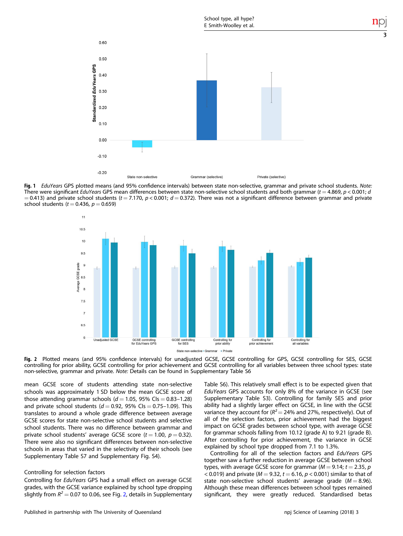<span id="page-3-0"></span>

Fig. 1 EduYears GPS plotted means (and 95% confidence intervals) between state non-selective, grammar and private school students. Note: There were significant EduYears GPS mean differences between state non-selective school students and both grammar (t = 4.869, p < 0.001; d  $= 0.413$ ) and private school students (t = 7.170, p < 0.001;  $d = 0.372$ ). There was not a significant difference between grammar and private school students ( $t = 0.436$ ,  $p = 0.659$ )



Fig. 2 Plotted means (and 95% confidence intervals) for unadjusted GCSE, GCSE controlling for GPS, GCSE controlling for SES, GCSE controlling for prior ability, GCSE controlling for prior achievement and GCSE controlling for all variables between three school types: state non-selective, grammar and private. Note: Details can be found in Supplementary Table S6

mean GCSE score of students attending state non-selective schools was approximately 1 SD below the mean GCSE score of those attending grammar schools ( $d = 1.05$ , 95% Cls = 0.83-1.28) and private school students  $(d = 0.92, 95\%$  Cls = 0.75-1.09). This translates to around a whole grade difference between average GCSE scores for state non-selective school students and selective school students. There was no difference between grammar and private school students' average GCSE score ( $t = 1.00$ ,  $p = 0.32$ ). There were also no significant differences between non-selective schools in areas that varied in the selectivity of their schools (see Supplementary Table S7 and Supplementary Fig. S4).

#### Controlling for selection factors

Controlling for EduYears GPS had a small effect on average GCSE grades, with the GCSE variance explained by school type dropping slightly from  $R^2 = 0.07$  to 0.06, see Fig. 2, details in Supplementary

Table S6). This relatively small effect is to be expected given that EduYears GPS accounts for only 8% of the variance in GCSE (see Supplementary Table S3). Controlling for family SES and prior ability had a slightly larger effect on GCSE, in line with the GCSE variance they account for  $(R^2 = 24\%$  and 27%, respectively). Out of all of the selection factors, prior achievement had the biggest impact on GCSE grades between school type, with average GCSE for grammar schools falling from 10.12 (grade A) to 9.21 (grade B). After controlling for prior achievement, the variance in GCSE explained by school type dropped from 7.1 to 1.3%.

Controlling for all of the selection factors and EduYears GPS together saw a further reduction in average GCSE between school types, with average GCSE score for grammar ( $M = 9.14$ ;  $t = 2.35$ , p < 0.019) and private ( $M = 9.32$ ,  $t = 6.16$ ,  $p < 0.001$ ) similar to that of state non-selective school students' average grade  $(M = 8.96)$ . Although these mean differences between school types remained significant, they were greatly reduced. Standardised betas

3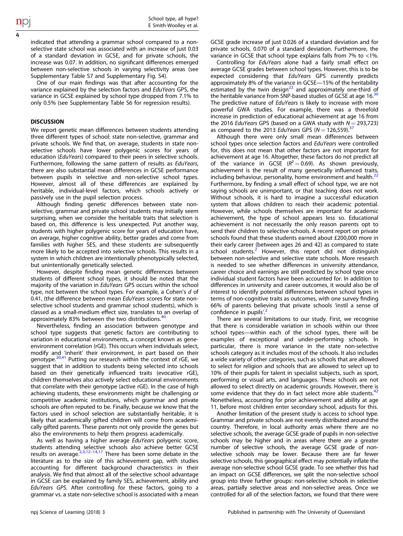indicated that attending a grammar school compared to a nonselective state school was associated with an increase of just 0.03 of a standard deviation in GCSE, and for private schools, the increase was 0.07. In addition, no significant differences emerged between non-selective schools in varying selectivity areas (see Supplementary Table S7 and Supplementary Fig. S4).

One of our main findings was that after accounting for the variance explained by the selection factors and EduYears GPS, the variance in GCSE explained by school type dropped from 7.1% to only 0.5% (see Supplementary Table S6 for regression results).

#### **DISCUSSION**

We report genetic mean differences between students attending three different types of school: state non-selective, grammar and private schools. We find that, on average, students in state nonselective schools have lower polygenic scores for years of education (*EduYears*) compared to their peers in selective schools. Furthermore, following the same pattern of results as EduYears, there are also substantial mean differences in GCSE performance between pupils in selective and non-selective school types. However, almost all of these differences are explained by heritable, individual-level factors, which schools actively or passively use in the pupil selection process.

Although finding genetic differences between state nonselective, grammar and private school students may initially seem surprising, when we consider the heritable traits that selection is based on, this difference is less unexpected. Put another way, students with higher polygenic score for years of education have, on average, higher cognitive ability, better grades and come from families with higher SES, and these students are subsequently more likely to be accepted into selective schools. This results in a system in which children are intentionally phenotypically selected, but unintentionally genetically selected.

However, despite finding mean genetic differences between students of different school types, it should be noted that the majority of the variation in EduYears GPS occurs within the school type, not between the school types. For example, a Cohen's d of 0.41, (the difference between mean EduYears scores for state nonselective school students and grammar school students), which is classed as a small-medium effect size, translates to an overlap of approximately 83% between the two distributions.<sup>[40](#page-7-0)</sup>

Nevertheless, finding an association between genotype and school type suggests that genetic factors are contributing to variation in educational environments, a concept known as geneenvironment correlation (rGE). This occurs when individuals select, modify and 'inherit' their environment, in part based on their qenotype.<sup>[20](#page-6-0)[,41](#page-7-0)</sup> Putting our research within the context of rGE, we suggest that in addition to students being selected into schools based on their genetically influenced traits (evocative rGE), children themselves also actively select educational environments that correlate with their genotype (active rGE). In the case of high achieving students, these environments might be challenging or competitive academic institutions, which grammar and private schools are often reputed to be. Finally, because we know that the factors used in school selection are substantially heritable, it is likely that academically gifted children will come from academically gifted parents. These parents not only provide the genes but also the environments to help them progress academically.

As well as having a higher average EduYears polygenic score, students attending selective schools also achieve better GCSE<br>results on average.<sup>[2,3](#page-6-0),[12](#page-6-0)–[14,17](#page-6-0)</sup> There has been some debate in the literature as to the size of this achievement gap, with studies accounting for different background characteristics in their analysis. We find that almost all of the selective school advantage in GCSE can be explained by family SES, achievement, ability and EduYears GPS. After controlling for these factors, going to a grammar vs. a state non-selective school is associated with a mean GCSE grade increase of just 0.026 of a standard deviation and for private schools, 0.070 of a standard deviation. Furthermore, the variance in GCSE that school type explains falls from 7% to <1%.

Controlling for EduYears alone had a fairly small effect on average GCSE grades between school types. However, this is to be expected considering that EduYears GPS currently predicts approximately 8% of the variance in GCSE—15% of the heritability estimated by the twin design<sup>[22](#page-6-0)</sup> and approximately one-third of the heritable variance from SNP-based studies of GCSE at age 16.<sup>[30](#page-6-0)</sup> The predictive nature of EduYears is likely to increase with more powerful GWA studies. For example, there was a threefold increase in prediction of educational achievement at age 16 from the 2016 EduYears GPS (based on a GWA study with  $N = 293.723$ ) as compared to the 2013 EduYears GPS ( $N = 126,559$ ).<sup>3</sup>

Although there were only small mean differences between school types once selection factors and EduYears were controlled for, this does not mean that other factors are not important for achievement at age 16. Altogether, these factors do not predict all of the variance in GCSE ( $R^2 = 0.69$ ). As shown previously, achievement is the result of many genetically influenced traits, including behaviour, personality, home environment and health.<sup>[22](#page-6-0)</sup> Furthermore, by finding a small effect of school type, we are not saying schools are unimportant, or that teaching does not work. Without schools, it is hard to imagine a successful education system that allows children to reach their academic potential. However, while schools themselves are important for academic achievement, the type of school appears less so. Educational achievement is not necessarily the only reason parents opt to send their children to selective schools. A recent report on private schools found that these students earned about £200,000 more in their early career (between ages 26 and 42) as compared to state school students.<sup>[2](#page-6-0)</sup> However, this report did not distinguish between non-selective and selective state schools. More research is needed to see whether differences in university attendance, career choice and earnings are still predicted by school type once individual student factors have been accounted for. In addition to differences in university and career outcomes, it would also be of interest to identify potential differences between school types in terms of non-cognitive traits as outcomes, with one survey finding 66% of parents believing that private schools 'instil a sense of confidence in pupils'.<sup>[2](#page-6-0)</sup>

There are several limitations to our study. First, we recognise that there is considerable variation in schools within our three school types—within each of the school types, there will be examples of exceptional and under-performing schools. In particular, there is more variance in the state non-selective schools category as it includes most of the schools. It also includes a wide variety of other categories, such as schools that are allowed to select for religion and schools that are allowed to select up to 10% of their pupils for talent in specialist subjects, such as sport, performing or visual arts, and languages. These schools are not allowed to select directly on academic grounds. However, there is some evidence that they do in fact select more able students. $42$ Nonetheless, accounting for prior achievement and ability at age 11, before most children enter secondary school, adjusts for this.

Another limitation of the present study is access to school type. Grammar and private schools are not evenly distributed around the country. Therefore, in local authority areas where there are no selective schools, the average GCSE grade of pupils in non-selective schools may be higher and in areas where there are a greater number of selective schools, the average GCSE grade of nonselective schools may be lower. Because there are far fewer selective schools, this geographical effect may potentially inflate the average non-selective school GCSE grade. To see whether this had an impact on GCSE differences, we split the non-selective school group into three further groups: non-selective schools in selective areas, partially selective areas and non-selective areas. Once we controlled for all of the selection factors, we found that there were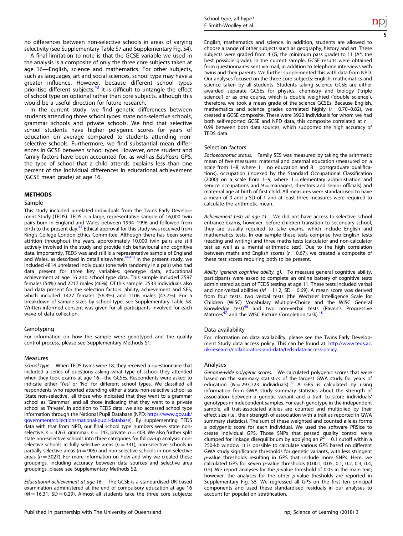no differences between non-selective schools in areas of varying selectivity (see Supplementary Table S7 and Supplementary Fig. S4).

A final limitation to note is that the GCSE variable we used in the analysis is a composite of only the three core subjects taken at age 16—English, science and mathematics. For other subjects, such as languages, art and social sciences, school type may have a greater influence. However, because different school types prioritise different subjects, $43$  it is difficult to untangle the effect of school type on optional rather than core subjects, although this would be a useful direction for future research.

In the current study, we find genetic differences between students attending three school types: state non-selective schools, grammar schools and private schools. We find that selective school students have higher polygenic scores for years of education on average compared to students attending nonselective schools. Furthermore, we find substantial mean differences in GCSE between school types. However, once student and family factors have been accounted for, as well as EduYears GPS, the type of school that a child attends explains less than one percent of the individual differences in educational achievement (GCSE mean grade) at age 16.

#### METHODS

#### Sample

This study included unrelated individuals from the Twins Early Development Study (TEDS). TEDS is a large, representative sample of 16,000 twin pairs born in England and Wales between 1994–1996 and followed from birth to the present day.<sup>[44](#page-7-0)</sup> Ethical approval for this study was received from King's College London Ethics Committee. Although there has been some attrition throughout the years, approximately 10,000 twin pairs are still actively involved in the study and provide rich behavioural and cognitive data. Importantly, TEDS was and still is a representative sample of England<br>and Wales, as described in detail elsewhere.<sup>[44](#page-7-0),[45\]](#page-7-0)</sup> In the present study, we included 4814 unrelated individuals (one twin randomly in a pair) who had data present for three key variables: genotype data, educational achievement at age 16 and school type data. This sample included 2597 females (54%) and 2217 males (46%). Of this sample, 2533 individuals also had data present for the selection factors: ability, achievement and SES, which included 1427 females (56.3%) and 1106 males (43.7%). For a breakdown of sample sizes by school type, see Supplementary Table S8. Written informed consent was given for all participants involved for each wave of data collection.

#### Genotyping

For information on how the sample were genotyped and the quality control process, please see Supplementary Methods S1.

#### Measures

School type. When TEDS twins were 18, they received a questionnaire that included a series of questions asking what type of school they attended when they took exams at age 16—the GCSEs. Respondents were asked to indicate either 'Yes' or 'No' for different school types. We classified all respondents who reported attending either a state non-selective school as 'State non-selective', all those who indicated that they went to a grammar school as 'Grammar' and all those indicating that they went to a private school as 'Private'. In addition to TEDS data, we also accessed school type information through the National Pupil Database (NPD; [https://www.gov.uk/](https://www.gov.uk/government/collections/national-pupil-database) [government/collections/national-pupil-database](https://www.gov.uk/government/collections/national-pupil-database)). By supplementing TEDS data with that from NPD, our final school type numbers were: state nonselective:  $n = 4263$ , grammar:  $n = 143$ , private:  $n = 408$ . We also further split state non-selective schools into three categories for follow-up analysis: nonselective schools in fully selective areas ( $n = 331$ ), non-selective schools in partially selective areas ( $n = 905$ ) and non-selective schools in non-selective areas ( $n = 3027$ ). For more information on how and why we created these groupings, including accuracy between data sources and selective area groupings, please see Supplementary Methods S2.

Educational achievement at age 16. The GCSE is a standardised UK-based examination administered at the end of compulsory education at age 16  $(M = 16.31, SD = 0.29)$ . Almost all students take the three core subjects: English, mathematics and science. In addition, students are allowed to choose a range of other subjects such as geography, history and art. These subjects were graded from 4 (G, the minimum pass grade) to 11 (A\*, the best possible grade). In the current sample, GCSE results were obtained from questionnaires sent via mail, in addition to telephone interviews with twins and their parents. We further supplemented this with data from NPD. Our analyses focused on the three core subjects: English, mathematics and science taken by all students. Students taking science GCSE are either awarded separate GCSEs for physics, chemistry and biology ('triple science') or as one course, which is double weighted ('double science'), therefore, we took a mean grade of the science GCSEs. Because English, mathematics and science grades correlated highly  $(r = 0.70 - 0.82)$ , we created a GCSE composite. There were 3920 individuals for whom we had both self-reported GCSE and NPD data, this composite correlated at  $r =$ 0.99 between both data sources, which supported the high accuracy of TEDS data.

#### Selection factors

Socioeconomic status. Family SES was measured by taking the arithmetic mean of five measures: maternal and paternal education (measured on a scale from 1–8, where  $1 =$  no education and  $8 =$  postgraduate qualifications), occupation (indexed by the Standard Occupational Classification (2000) on a scale from 1-9, where  $1 =$  elementary administration and service occupations and  $9 =$  managers, directors and senior officials) and maternal age at birth of first child. All measures were standardised to have a mean of 0 and a SD of 1 and at least three measures were required to calculate the arithmetic mean.

Achievement tests at age 11. We did not have access to selective school entrance exams, however, before children transition to secondary school, they are usually required to take exams, which include English and mathematics tests. In our sample these tests comprise two English tests (reading and writing) and three maths tests (calculator and non-calculator test as well as a mental arithmetic test). Due to the high correlation between maths and English scores ( $r = 0.67$ ), we created a composite of these test scores requiring both to be present.

Ability (general cognitive ability, g). To measure general cognitive ability, participants were asked to complete an online battery of cognitive tests administered as part of TEDS testing at age 11. These tests included verbal and non-verbal abilities ( $M = 11.2$ , SD = 0.69). A mean score was derived from four tests, two verbal tests (the Wechsler Intelligence Scale for Children (WISC) Vocabulary Multiple-Choice and the WISC General Knowledge test)<sup>[46](#page-7-0)</sup> and two non-verbal tests (Raven's Progressive Matrices<sup>[47](#page-7-0)</sup> and the WISC Picture Completion task).<sup>4</sup>

#### Data availability

For information on data availability, please see the Twins Early Development Study data access policy. This can be found at: [http://www.teds.ac.](http://www.teds.ac.uk/research/collaborators-and-data/teds-data-access-policy) [uk/research/collaborators-and-data/teds-data-access-policy.](http://www.teds.ac.uk/research/collaborators-and-data/teds-data-access-policy)

#### Analyses

Genome-wide polygenic scores. We calculated polygenic scores that were based on the summary statistics of the largest GWA study for years of education ( $N = 293,723$  individuals).<sup>[39](#page-7-0)</sup> A GPS is calculated by using information from GWA study summary statistics about the strength of association between a genetic variant and a trait, to score individuals' genotypes in independent samples. For each genotype in the independent sample, all trait-associated alleles are counted and multiplied by their effect size (i.e., their strength of association with a trait as reported in GWA summary statistics). The sum of these weighted and counted alleles forms a polygenic score for each individual. We used the software PRSice to create individual GPS. Those SNPs that passed quality control were clumped for linkage disequilibrium by applying an  $R^2 = 0.1$  cutoff within a 250-kb window. It is possible to calculate various GPS based on different GWA study significance thresholds for genetic variants, with less stringent p-value thresholds resulting in GPS that include more SNPs. Here, we calculated GPS for seven p-value thresholds (0.001, 0.05, 0.1, 0.2, 0.3, 0.4, 0.5). We report analyses for the  $p$ -value threshold of 0.05 in the main text; however, the analyses for the other  $p$ -value thesholds are reported in Supplementary Fig. S5. We regressed all GPS on the first ten principal components and used these standardised residuals in our analyses to account for population stratification.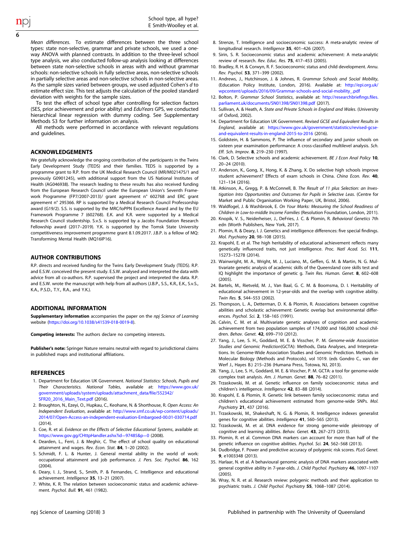<span id="page-6-0"></span>Mean differences. To estimate differences between the three school types: state non-selective, grammar and private schools, we used a oneway ANOVA with planned contrasts. In addition to the three-level school type analysis, we also conducted follow-up analysis looking at differences between state non-selective schools in areas with and without grammar schools: non-selective schools in fully selective areas, non-selective schools in partially selective areas and non-selective schools in non-selective areas. As the sample sizes varied between groups, we used adjusted Cohen's d to estimate effect size. This test adjusts the calculation of the pooled standard deviation with weights for the sample sizes.

To test the effect of school type after controlling for selection factors (SES, prior achievement and prior ability) and EduYears GPS, we conducted hierarchical linear regression with dummy coding. See Supplementary Methods S3 for further information on analysis.

All methods were performed in accordance with relevant regulations and guidelines.

#### ACKNOWLEDGEMENTS

We gratefully acknowledge the ongoing contribution of the participants in the Twins Early Development Study (TEDS) and their families. TEDS is supported by a programme grant to R.P. from the UK Medical Research Council (MR/M021475/1 and previously G0901245), with additional support from the US National Institutes of Health (AG046938). The research leading to these results has also received funding from the European Research Council under the European Union's Seventh Framework Programme (FP7/2007-2013)/ grant agreement n° 602768 and ERC grant agreement n° 295366. RP is supported by a Medical Research Council Professorship award (G19/2). S.S. is supported by the MRC/IoPPN Excellence Award and by the EU Framework Programme 7 (602768). E.K. and K.R. were supported by a Medical Research Council studentship. S.v.S. is supported by a Jacobs Foundation Research Fellowship award (2017–2019). Y.K. is supported by the Tomsk State University competitiveness improvement programme grant 8.1.09.2017. J.B.P. is a fellow of MQ: Transforming Mental Health (MQ16IP16).

#### AUTHOR CONTRIBUTIONS

R.P. directs and received funding for the Twins Early Development Study (TEDS). R.P. and E.S.W. conceived the present study. E.S.W. analysed and interpreted the data with advice from all co-authors. R.P. supervised the project and interpreted the data. R.P. and E.S.W. wrote the manuscript with help from all authors (J.B.P., S.S., K.R., E.K., S.v.S., K.A., P.S.D., T.Y., R.A., and Y.K.).

#### ADDITIONAL INFORMATION

Supplementary information accompanies the paper on the npj Science of Learning website [\(https://doi.org/10.1038/s41539-018-0019-8\)](https://doi.org/10.1038/s41539-018-0019-8).

Competing interests: The authors declare no competing interests.

Publisher's note: Springer Nature remains neutral with regard to jurisdictional claims in published maps and institutional affiliations.

#### REFERENCES

- 1. Department for Education UK Government. National Statistics: Schools, Pupils and Their Characteristics. National Tables, available at: [https://www.gov.uk/](https://www.gov.uk/government/uploads/system/uploads/attachment_data/file/552342/SFR20_2016_Main_Text.pdf) [government/uploads/system/uploads/attachment\\_data/](https://www.gov.uk/government/uploads/system/uploads/attachment_data/file/552342/SFR20_2016_Main_Text.pdf)file/552342/ [SFR20\\_2016\\_Main\\_Text.pdf](https://www.gov.uk/government/uploads/system/uploads/attachment_data/file/552342/SFR20_2016_Main_Text.pdf) (2016).
- 2. Broughton, N., Ezeyi, O., Hupkau, C., Keohane, N. & Shorthouse, R. Open Access: An Independent Evaluation, available at: [http://www.smf.co.uk/wp-content/uploads/](http://www.smf.co.uk/wp-content/uploads/2014/07/Open-Access-an-independent-evaluation-Embargoed-00.01-030714.pdf) [2014/07/Open-Access-an-independent-evaluation-Embargoed-00.01-030714.pdf](http://www.smf.co.uk/wp-content/uploads/2014/07/Open-Access-an-independent-evaluation-Embargoed-00.01-030714.pdf) (2014).
- 3. Coe, R. et al. Evidence on the Effects of Selective Educational Systems, available at: [https://www.gov.gg/CHttpHandler.ashx?id](https://www.gov.gg/CHttpHandler.ashx?id=97485&p=0)=97485&p=0 (2008)
- 4. Dearden, L., Ferri, J. & Meghir, C. The effect of school quality on educational attainment and wages. Rev. Econ. Stat. 84, 1-20 (2002).
- 5. Schmidt, F. L. & Hunter, J. General mental ability in the world of work: occupational attainment and job performance. J. Pers. Soc. Psychol. 86, 162 (2004).
- 6. Deary, I. J., Strand, S., Smith, P. & Fernandes, C. Intelligence and educational achievement. Intelligence 35, 13-21 (2007).
- 7. White, K. R. The relation between socioeconomic status and academic achievement. Psychol. Bull. 91, 461 (1982).
- 8. Strenze, T. Intelligence and socioeconomic success: A meta-analytic review of longitudinal research. Intelligence 35, 401–426 (2007).
- 9. Sirin, S. R. Socioeconomic status and academic achievement: A meta-analytic review of research. Rev. Educ. Res. 75, 417–453 (2005).
- 10. Bradley, R. H. & Corwyn, R. F. Socioeconomic status and child development. Annu. Rev. Psychol. 53, 371–399 (2002).
- 11. Andrews, J., Hutchinson, J. & Johnes, R. Grammar Schools and Social Mobility, (Education Policy Institute, London, 2016). Available at: [http://epi.org.uk/](http://epi.org.uk/wpcontent/uploads/2016/09/Grammar-schools-and-social-mobility_.pdf) [wpcontent/uploads/2016/09/Grammar-schools-and-social-mobility\\_.pdf](http://epi.org.uk/wpcontent/uploads/2016/09/Grammar-schools-and-social-mobility_.pdf)
- 12. Bolton, P. Grammar School Statistics, available at: [http://researchbrie](http://researchbriefings.files.parliament.uk/documents/SN01398/SN01398.pdf)fings.files. [parliament.uk/documents/SN01398/SN01398.pdf](http://researchbriefings.files.parliament.uk/documents/SN01398/SN01398.pdf) (2017).
- 13. Sullivan, A. & Heath, A. State and Private Schools in England and Wales. (University of Oxford, 2002).
- 14. Department for Education UK Government. Revised GCSE and Equivalent Results in England, available at: [https://www.gov.uk/government/statistics/revised-gcse](https://www.gov.uk/government/statistics/revised-gcse-and-equivalent-results-in-england-2015-to-2016)[and-equivalent-results-in-england-2015-to-2016](https://www.gov.uk/government/statistics/revised-gcse-and-equivalent-results-in-england-2015-to-2016) (2016).
- 15. Goldstein, H. & Sammons, P. The influence of secondary and junior schools on sixteen year examination performance: A cross-classified multilevel analysis. Sch. Eff. Sch. Improv. 8, 219–230 (1997).
- 16. Clark, D. Selective schools and academic achievement. BE J Econ Anal Policy 10, 20–24 (2010).
- 17. Anderson, K., Gong, X., Hong, K. & Zhang, X. Do selective high schools improve student achievement? Effects of exam schools in China. China Econ. Rev. 40, 121–134 (2016).
- 18. Atkinson, A., Gregg, P. & McConnell, B. The Result of 11 plus Selection: an Investigation Into Opportunities and Outcomes for Pupils in Selective Leas. (Centre for Market and Public Organisation Working Paper, UK, Bristol, 2006).
- 19. Waldfogel, J. & Washbrook, E. On Your Marks: Measuring the School Readiness of Children in Low-to-middle Income Families (Resolution Foundation, London, 2011).
- 20. Knopik, V. S., Neiderheiser, J., DeFries, J. C. & Plomin, R. Behavioral Genetics 7th edn (Worth Publishers, New York, 2017).
- 21. Plomin, R. & Deary, I. J. Genetics and intelligence differences: five special findings. Mol. Psychiatry 20, 98–108 (2015).
- 22. Krapohl, E. et al. The high heritability of educational achievement reflects many genetically influenced traits, not just intelligence. Proc. Natl Acad. Sci. 111, 15273–15278 (2014).
- 23. Wainwright, M. A., Wright, M. J., Luciano, M., Geffen, G. M. & Martin, N. G. Multivariate genetic analysis of academic skills of the Queensland core skills test and IQ highlight the importance of genetic g. Twin Res. Human. Genet. 8, 602-608 (2005).
- 24. Bartels, M., Rietveld, M. J., Van Baal, G. C. M. & Boomsma, D. I. Heritability of educational achievement in 12-year-olds and the overlap with cognitive ability. Twin Res. 5, 544–553 (2002).
- 25. Thompson, L. A., Detterman, D. K. & Plomin, R. Associations between cognitive abilities and scholastic achievement: Genetic overlap but environmental differences. Psychol. Sci. 2, 158–165 (1991).
- 26. Calvin, C. M. et al. Multivariate genetic analyses of cognition and academic achievement from two population samples of 174,000 and 166,000 school children. Behav. Genet. 42, 699–710 (2012).
- 27. Yang, J., Lee, S. H., Goddard, M. E. & Visscher, P. M. Genome-wide Association Studies and Genomic Prediction(GCTA): Methods, Data Analyses, and Interpretations. In: Genome-Wide Association Studies and Genomic Prediction. Methods in Molecular Biology (Methods and Protocols), vol 1019. (eds Gondro C., van der Werf J., Hayes B.) 215–236 (Humana Press, Totowa, NJ, 2013).
- 28. Yang, J., Lee, S. H., Goddard, M. E. & Visscher, P. M. GCTA: a tool for genome-wide complex trait analysis. Am. J. Human. Genet. 88, 76–82 (2011).
- 29. Trzaskowski, M. et al. Genetic influence on family socioeconomic status and children's intelligence. Intelligence 42, 83–88 (2014).
- 30. Krapohl, E. & Plomin, R. Genetic link between family socioeconomic status and children's educational achievement estimated from genome-wide SNPs. Mol. Psychiatry 21, 437 (2016).
- 31. Trzaskowski, M., Shakeshaft, N. G. & Plomin, R. Intelligence indexes generalist genes for cognitive abilities. Intelligence 41, 560-565 (2013).
- 32. Trzaskowski, M. et al. DNA evidence for strong genome-wide pleiotropy of cognitive and learning abilities. Behav. Genet. 43, 267–273 (2013).
- 33. Plomin, R. et al. Common DNA markers can account for more than half of the genetic influence on cognitive abilities. Psychol. Sci. 24, 562–568 (2013).
- 34. Dudbridge, F. Power and predictive accuracy of polygenic risk scores. PLoS Genet. 9, e1003348 (2013).
- 35. Harlaar, N. et al. A behavioural genomic analysis of DNA markers associated with general cognitive ability in 7-year-olds. J. Child Psychol. Psychiatry 46, 1097-1107 (2005).
- 36. Wray, N. R. et al. Research review: polygenic methods and their application to psychiatric traits. J. Child Psychol. Psychiatry 55, 1068–1087 (2014).